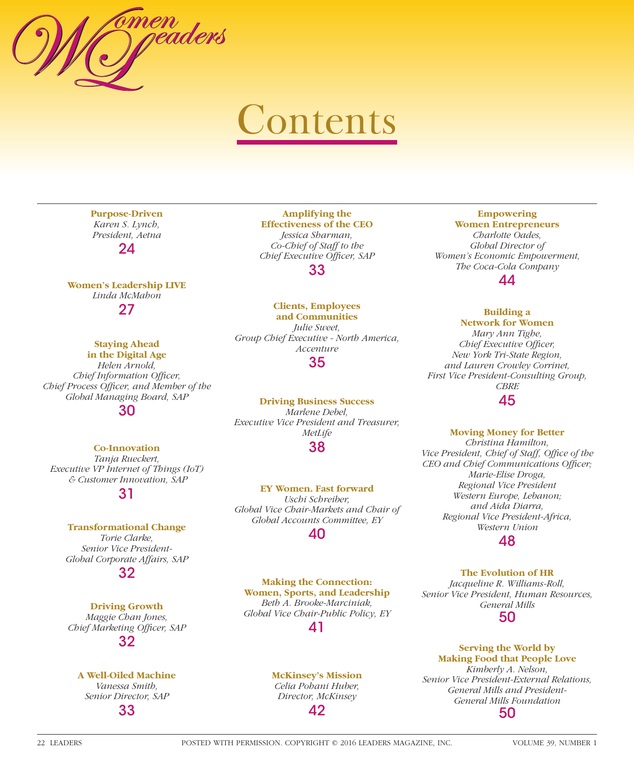

# **Contents**

**Purpose-Driven** *Karen S. Lynch, President, Aetna*  $24$ 

**Women's Leadership LIVE** *Linda McMahon* 27

> **Staying Ahead in the Digital Age**

*Helen Arnold, Chief Information Officer, Chief Process Officer, and Member of the Global Managing Board, SAP*

30

## **Co-Innovation**

*Tanja Rueckert, Executive VP Internet of Things (IoT) & Customer Innovation, SAP*

31

#### **Transformational Change**

*Torie Clarke, Senior Vice President-Global Corporate Affairs, SAP*

# 32

**Driving Growth** *Maggie Chan Jones,*  **Chief Marketing Officer, SAP** 32

## **A Well-Oiled Machine** *Vanessa Smith, Senior Director, SAP*

33

**Amplifying the Effectiveness of the CEO** *Jessica Sharman, Co-Chief of Staff to the Chief Executive Officer, SAP* 

33

## **Clients, Employees**

**and Communities** *Julie Sweet, Group Chief Executive - North America, Accenture*

35

**Driving Business Success** *Marlene Debel, Executive Vice President and Treasurer, MetLife*

## 38

**EY Women. Fast forward** *Uschi Schreiber, Global Vice Chair-Markets and Chair of Global Accounts Committee, EY*

## 40

**Making the Connection: Women, Sports, and Leadership** *Beth A. Brooke-Marciniak, Global Vice Chair-Public Policy, EY*

41

## **McKinsey's Mission**

*Celia Pohani Huber, Director, McKinsey*

42

#### **Empowering Women Entrepreneurs**

*Charlotte Oades, Global Director of Women's Economic Empowerment, The Coca-Cola Company*

44

#### **Building a Network for Women**

*Mary Ann Tighe, Chief Executive Officer, New York Tri-State Region, and Lauren Crowley Corrinet, First Vice President-Consulting Group, CBRE* 45

#### **Moving Money for Better**

*Christina Hamilton,*  Vice President, Chief of Staff, Office of the *CEO and Chief Communications Officer; Marie-Elise Droga, Regional Vice President Western Europe, Lebanon; and Aida Diarra, Regional Vice President-Africa, Western Union*

48

#### **The Evolution of HR**

*Jacqueline R. Williams-Roll, Senior Vice President, Human Resources, General Mills*

50

#### **Serving the World by Making Food that People Love** *Kimberly A. Nelson, Senior Vice President-External Relations, General Mills and President-General Mills Foundation* 50